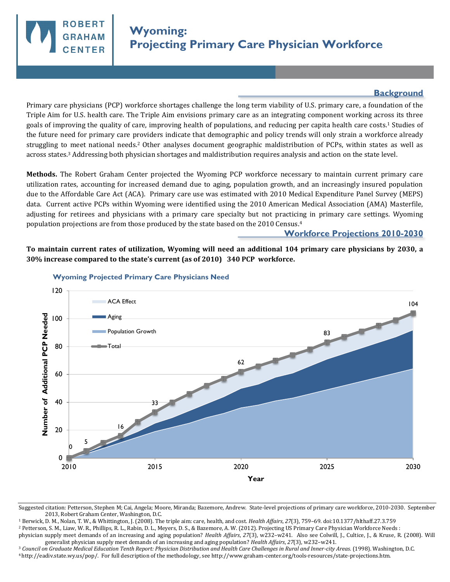

## **Background**

Primary care physicians (PCP) workforce shortages challenge the long term viability of U.S. primary care, a foundation of the Triple Aim for U.S. health care. The Triple Aim envisions primary care as an integrating component working across its three goals of improving the quality of care, improving health of populations, and reducing per capita health care costs.1 Studies of the future need for primary care providers indicate that demographic and policy trends will only strain a workforce already struggling to meet national needs.2 Other analyses document geographic maldistribution of PCPs, within states as well as across states.3 Addressing both physician shortages and maldistribution requires analysis and action on the state level.

**Methods.** The Robert Graham Center projected the Wyoming PCP workforce necessary to maintain current primary care utilization rates, accounting for increased demand due to aging, population growth, and an increasingly insured population due to the Affordable Care Act (ACA). Primary care use was estimated with 2010 Medical Expenditure Panel Survey (MEPS) data. Current active PCPs within Wyoming were identified using the 2010 American Medical Association (AMA) Masterfile, adjusting for retirees and physicians with a primary care specialty but not practicing in primary care settings. Wyoming population projections are from those produced by the state based on the 2010 Census.<sup>4</sup>

## **Workforce Projections 2010-2030**

**To maintain current rates of utilization, Wyoming will need an additional 104 primary care physicians by 2030, a 30% increase compared to the state's current (as of 2010) 340 PCP workforce.** 



## **Wyoming Projected Primary Care Physicians Need**

<sup>1</sup> Berwick, D. M., Nolan, T. W., & Whittington, J. (2008). The triple aim: care, health, and cost. *Health Affairs*, *27*(3), 759–69. doi:10.1377/hlthaff.27.3.759

<sup>2</sup> Petterson, S. M., Liaw, W. R., Phillips, R. L., Rabin, D. L., Meyers, D. S., & Bazemore, A. W. (2012). Projecting US Primary Care Physician Workforce Needs :

<sup>3</sup> *Council on Graduate Medical Education Tenth Report: Physician Distribution and Health Care Challenges in Rural and Inner-city Areas*. (1998). Washington, D.C. <sup>4</sup>http://eadiv.state.wy.us/pop/. For full description of the methodology, see http://www.graham-center.org/tools-resources/state-projections.htm.

Suggested citation: Petterson, Stephen M; Cai, Angela; Moore, Miranda; Bazemore, Andrew. State-level projections of primary care workforce, 2010-2030. September 2013, Robert Graham Center, Washington, D.C.

physician supply meet demands of an increasing and aging population? *Health Affairs*, *27*(3), w232–w241. Also see Colwill, J., Cultice, J., & Kruse, R. (2008). Will generalist physician supply meet demands of an increasing and aging population? *Health Affairs*, *27*(3), w232–w241.